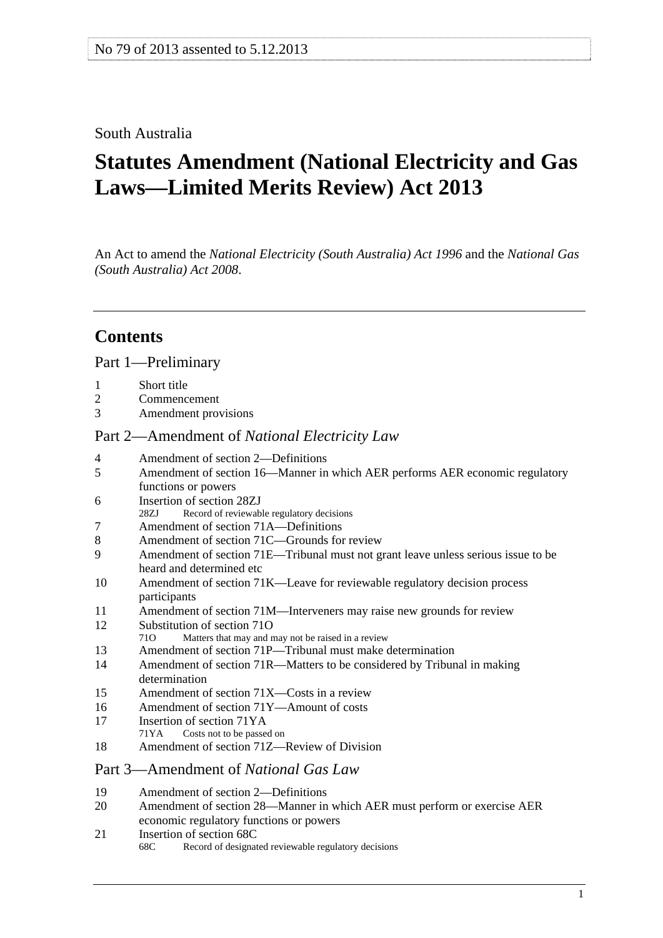## <span id="page-0-0"></span>South Australia

# **Statutes Amendment (National Electricity and Gas Laws—Limited Merits Review) Act 2013**

An Act to amend the *[National Electricity \(South Australia\) Act 1996](http://www.legislation.sa.gov.au/index.aspx?action=legref&type=act&legtitle=National%20Electricity%20(South%20Australia)%20Act%201996)* and the *[National Gas](http://www.legislation.sa.gov.au/index.aspx?action=legref&type=act&legtitle=National%20Gas%20(South%20Australia)%20Act%202008)  [\(South Australia\) Act 2008](http://www.legislation.sa.gov.au/index.aspx?action=legref&type=act&legtitle=National%20Gas%20(South%20Australia)%20Act%202008)*.

## **Contents**

#### [Part 1—Preliminary](#page-1-0)

- [1 Short title](#page-1-0)
- [2 Commencement](#page-1-0)
- [3 Amendment provisions](#page-1-0)

### Part 2—Amendment of *[National Electricity Law](#page-2-0)*

- [4 Amendment of section 2—Definitions](#page-2-0)
- [5 Amendment of section 16—Manner in which AER performs AER economic regulatory](#page-2-0)  [functions or powers](#page-2-0)
- [6 Insertion of section 28ZJ](#page-3-0)
- [28ZJ Record of reviewable regulatory decisions](#page-0-0)
- [7 Amendment of section 71A—Definitions](#page-4-0)
- [8 Amendment of section 71C—Grounds for review](#page-4-0)
- [9 Amendment of section 71E—Tribunal must not grant leave unless serious issue to be](#page-4-0)  [heard and determined etc](#page-4-0)
- [10 Amendment of section 71K—Leave for reviewable regulatory decision process](#page-5-0)  [participants](#page-5-0)
- [11 Amendment of section 71M—Interveners may raise new grounds for review](#page-5-0)
- [12 Substitution of section 71O](#page-5-0)
- [71O Matters that may and may not be raised in a review](#page-0-0)
- [13 Amendment of section 71P—Tribunal must make determination](#page-7-0)
- [14 Amendment of section 71R—Matters to be considered by Tribunal in making](#page-8-0)  [determination](#page-8-0)
- [15 Amendment of section 71X—Costs in a review](#page-10-0)
- [16 Amendment of section 71Y—Amount of costs](#page-10-0)
- [17 Insertion of section 71YA](#page-10-0)<br>
71YA Costs not to be passe
- Costs not to be passed on
- [18 Amendment of section 71Z—Review of Division](#page-10-0)

#### [Part 3—Amendment of](#page-11-0) *National Gas Law*

- [19 Amendment of section 2—Definitions](#page-11-0)
- [20 Amendment of section 28—Manner in which AER must perform or exercise AER](#page-11-0)  [economic regulatory functions or powers](#page-11-0)
- [21 Insertion of section 68C](#page-12-0) 
	- [68C Record of designated reviewable regulatory decisions](#page-0-0)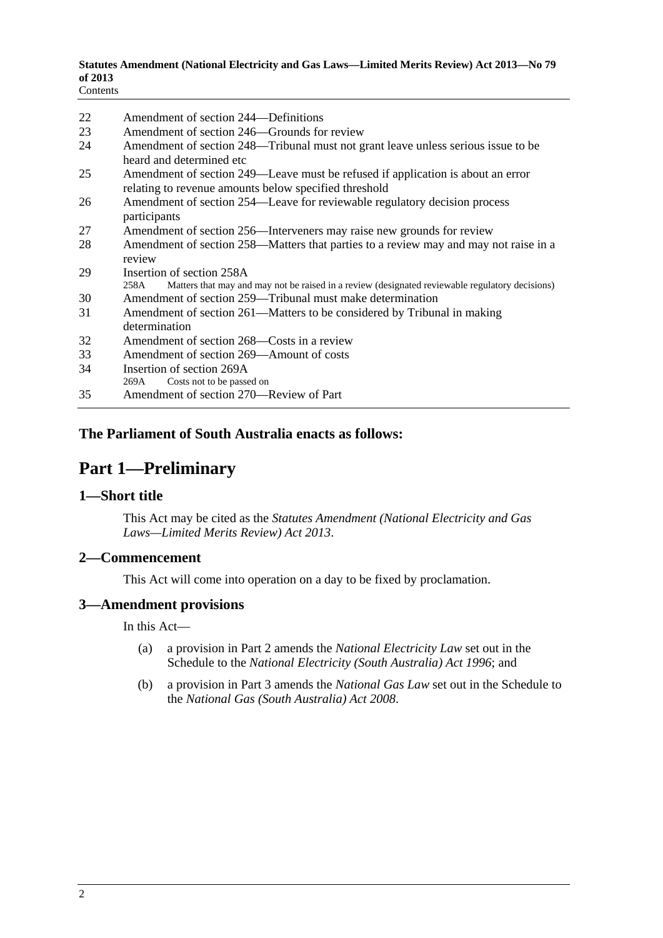#### <span id="page-1-0"></span>**Statutes Amendment (National Electricity and Gas Laws—Limited Merits Review) Act 2013—No 79 of 2013**

| Contents |
|----------|
|----------|

| 22 | Amendment of section 244—Definitions                                                                                                     |
|----|------------------------------------------------------------------------------------------------------------------------------------------|
| 23 | Amendment of section 246—Grounds for review                                                                                              |
| 24 | Amendment of section 248—Tribunal must not grant leave unless serious issue to be<br>heard and determined etc                            |
| 25 | Amendment of section 249—Leave must be refused if application is about an error<br>relating to revenue amounts below specified threshold |
| 26 | Amendment of section 254—Leave for reviewable regulatory decision process<br>participants                                                |
| 27 | Amendment of section 256—Interveners may raise new grounds for review                                                                    |
| 28 | Amendment of section 258—Matters that parties to a review may and may not raise in a<br>review                                           |
| 29 | Insertion of section 258A                                                                                                                |
|    | Matters that may and may not be raised in a review (designated reviewable regulatory decisions)<br>258A                                  |
| 30 | Amendment of section 259—Tribunal must make determination                                                                                |
| 31 | Amendment of section 261—Matters to be considered by Tribunal in making<br>determination                                                 |
| 32 | Amendment of section 268—Costs in a review                                                                                               |
| 33 | Amendment of section 269—Amount of costs                                                                                                 |
| 34 | Insertion of section 269A                                                                                                                |
|    | Costs not to be passed on<br>269A                                                                                                        |
| 35 | Amendment of section 270—Review of Part                                                                                                  |

## **The Parliament of South Australia enacts as follows:**

## **Part 1—Preliminary**

#### **1—Short title**

This Act may be cited as the *Statutes Amendment (National Electricity and Gas Laws—Limited Merits Review) Act 2013*.

## **2—Commencement**

This Act will come into operation on a day to be fixed by proclamation.

#### **3—Amendment provisions**

In this Act—

- (a) a provision in Part 2 amends the *National Electricity Law* set out in the Schedule to the *[National Electricity \(South Australia\) Act 1996](http://www.legislation.sa.gov.au/index.aspx?action=legref&type=act&legtitle=National%20Electricity%20(South%20Australia)%20Act%201996)*; and
- (b) a provision in Part 3 amends the *National Gas Law* set out in the Schedule to the *[National Gas \(South Australia\) Act 2008](http://www.legislation.sa.gov.au/index.aspx?action=legref&type=act&legtitle=National%20Gas%20(South%20Australia)%20Act%202008)*.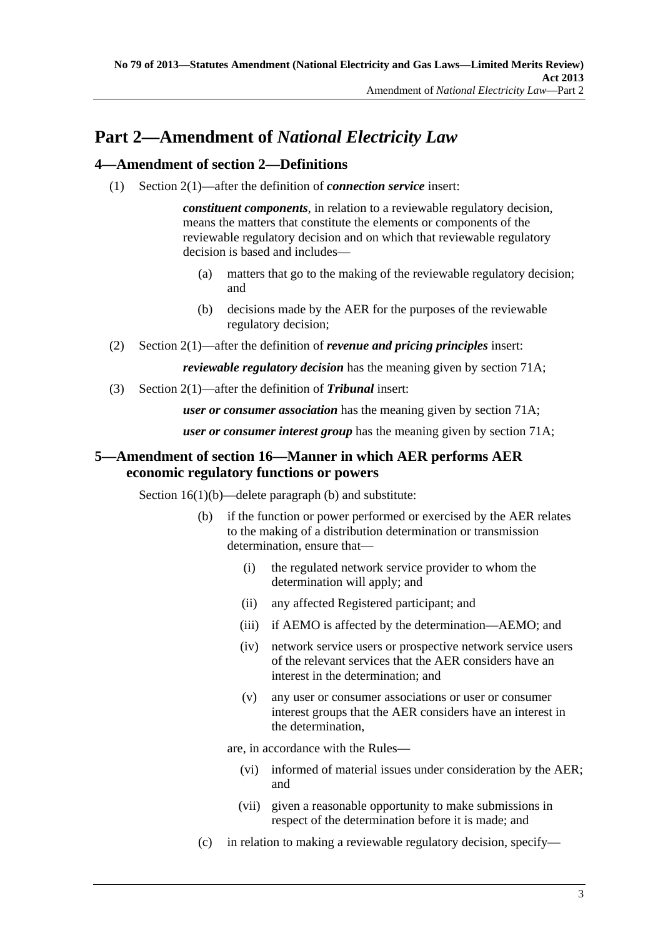### <span id="page-2-0"></span>**4—Amendment of section 2—Definitions**

(1) Section 2(1)—after the definition of *connection service* insert:

*constituent components*, in relation to a reviewable regulatory decision, means the matters that constitute the elements or components of the reviewable regulatory decision and on which that reviewable regulatory decision is based and includes—

- (a) matters that go to the making of the reviewable regulatory decision; and
- (b) decisions made by the AER for the purposes of the reviewable regulatory decision;
- (2) Section 2(1)—after the definition of *revenue and pricing principles* insert:

*reviewable regulatory decision* has the meaning given by section 71A;

(3) Section 2(1)—after the definition of *Tribunal* insert:

*user or consumer association* has the meaning given by section 71A;

*user or consumer interest group* has the meaning given by section 71A;

## **5—Amendment of section 16—Manner in which AER performs AER economic regulatory functions or powers**

Section 16(1)(b)—delete paragraph (b) and substitute:

- (b) if the function or power performed or exercised by the AER relates to the making of a distribution determination or transmission determination, ensure that—
	- (i) the regulated network service provider to whom the determination will apply; and
	- (ii) any affected Registered participant; and
	- (iii) if AEMO is affected by the determination—AEMO; and
	- (iv) network service users or prospective network service users of the relevant services that the AER considers have an interest in the determination; and
	- (v) any user or consumer associations or user or consumer interest groups that the AER considers have an interest in the determination,

are, in accordance with the Rules—

- (vi) informed of material issues under consideration by the AER; and
- (vii) given a reasonable opportunity to make submissions in respect of the determination before it is made; and
- (c) in relation to making a reviewable regulatory decision, specify—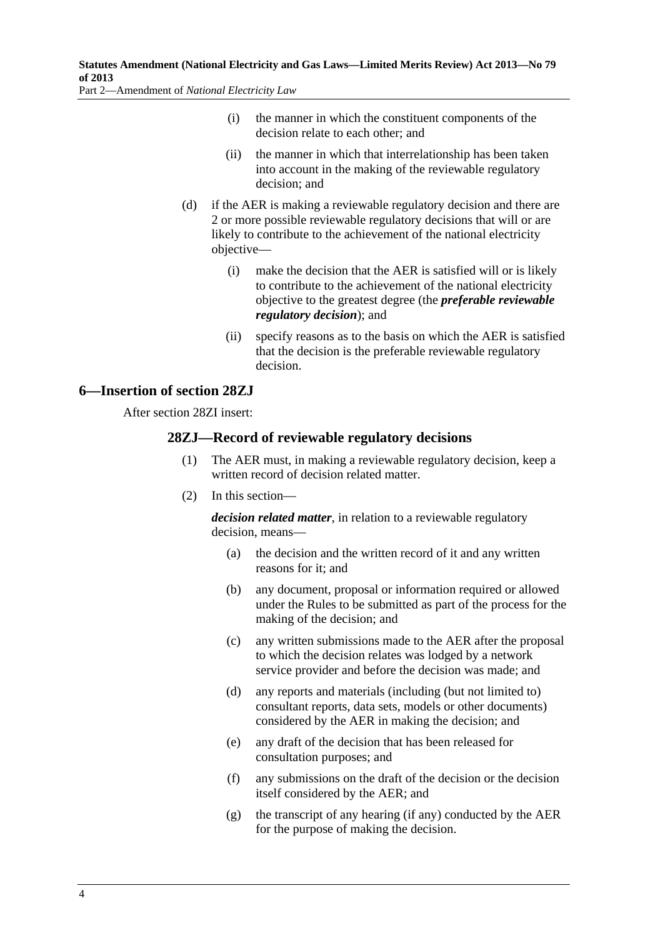- <span id="page-3-0"></span> (i) the manner in which the constituent components of the decision relate to each other; and
- (ii) the manner in which that interrelationship has been taken into account in the making of the reviewable regulatory decision; and
- (d) if the AER is making a reviewable regulatory decision and there are 2 or more possible reviewable regulatory decisions that will or are likely to contribute to the achievement of the national electricity objective—
	- (i) make the decision that the AER is satisfied will or is likely to contribute to the achievement of the national electricity objective to the greatest degree (the *preferable reviewable regulatory decision*); and
	- (ii) specify reasons as to the basis on which the AER is satisfied that the decision is the preferable reviewable regulatory decision.

#### **6—Insertion of section 28ZJ**

After section 28ZI insert:

#### **28ZJ—Record of reviewable regulatory decisions**

- (1) The AER must, in making a reviewable regulatory decision, keep a written record of decision related matter.
- (2) In this section—

*decision related matter*, in relation to a reviewable regulatory decision, means—

- (a) the decision and the written record of it and any written reasons for it; and
- (b) any document, proposal or information required or allowed under the Rules to be submitted as part of the process for the making of the decision; and
- (c) any written submissions made to the AER after the proposal to which the decision relates was lodged by a network service provider and before the decision was made; and
- (d) any reports and materials (including (but not limited to) consultant reports, data sets, models or other documents) considered by the AER in making the decision; and
- (e) any draft of the decision that has been released for consultation purposes; and
- (f) any submissions on the draft of the decision or the decision itself considered by the AER; and
- (g) the transcript of any hearing (if any) conducted by the AER for the purpose of making the decision.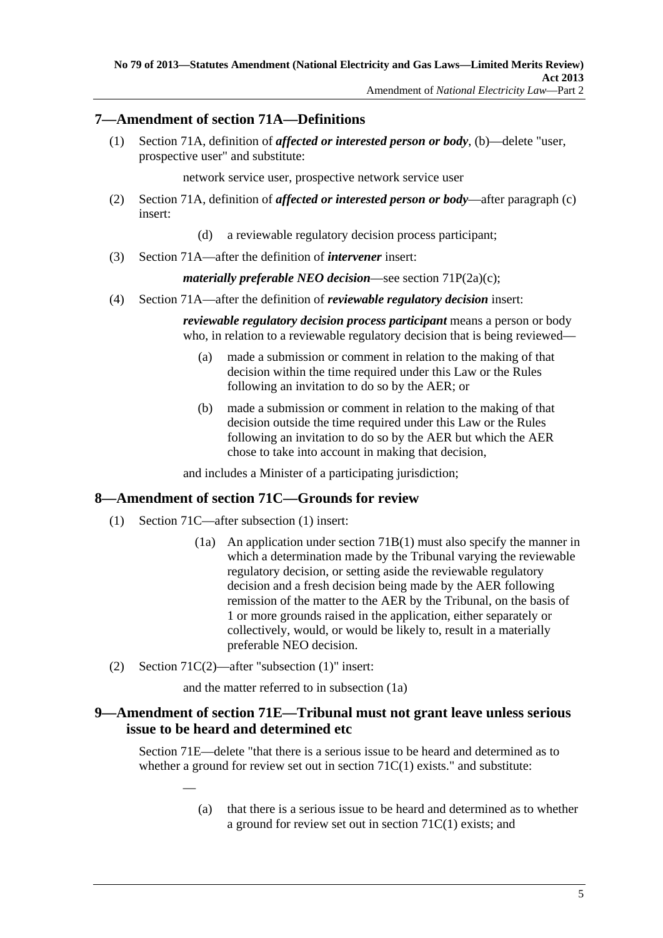### <span id="page-4-0"></span>**7—Amendment of section 71A—Definitions**

 (1) Section 71A, definition of *affected or interested person or body*, (b)—delete "user, prospective user" and substitute:

network service user, prospective network service user

- (2) Section 71A, definition of *affected or interested person or body*—after paragraph (c) insert:
	- (d) a reviewable regulatory decision process participant;
- (3) Section 71A—after the definition of *intervener* insert:

*materially preferable NEO decision*—see section 71P(2a)(c);

(4) Section 71A—after the definition of *reviewable regulatory decision* insert:

*reviewable regulatory decision process participant* means a person or body who, in relation to a reviewable regulatory decision that is being reviewed—

- (a) made a submission or comment in relation to the making of that decision within the time required under this Law or the Rules following an invitation to do so by the AER; or
- (b) made a submission or comment in relation to the making of that decision outside the time required under this Law or the Rules following an invitation to do so by the AER but which the AER chose to take into account in making that decision,

and includes a Minister of a participating jurisdiction;

#### **8—Amendment of section 71C—Grounds for review**

- (1) Section 71C—after subsection (1) insert:
	- (1a) An application under section 71B(1) must also specify the manner in which a determination made by the Tribunal varying the reviewable regulatory decision, or setting aside the reviewable regulatory decision and a fresh decision being made by the AER following remission of the matter to the AER by the Tribunal, on the basis of 1 or more grounds raised in the application, either separately or collectively, would, or would be likely to, result in a materially preferable NEO decision.
- (2) Section 71C(2)—after "subsection (1)" insert:

—

and the matter referred to in subsection (1a)

#### **9—Amendment of section 71E—Tribunal must not grant leave unless serious issue to be heard and determined etc**

Section 71E—delete "that there is a serious issue to be heard and determined as to whether a ground for review set out in section  $71C(1)$  exists." and substitute:

> (a) that there is a serious issue to be heard and determined as to whether a ground for review set out in section 71C(1) exists; and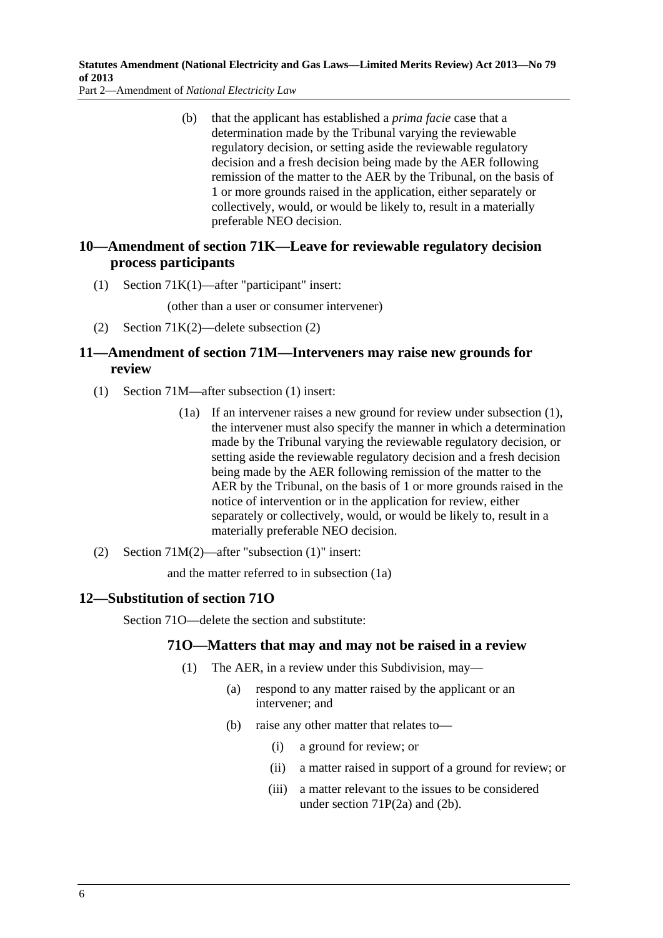<span id="page-5-0"></span> (b) that the applicant has established a *prima facie* case that a determination made by the Tribunal varying the reviewable regulatory decision, or setting aside the reviewable regulatory decision and a fresh decision being made by the AER following remission of the matter to the AER by the Tribunal, on the basis of 1 or more grounds raised in the application, either separately or collectively, would, or would be likely to, result in a materially preferable NEO decision.

## **10—Amendment of section 71K—Leave for reviewable regulatory decision process participants**

(1) Section 71K(1)—after "participant" insert:

(other than a user or consumer intervener)

(2) Section 71K(2)—delete subsection (2)

## **11—Amendment of section 71M—Interveners may raise new grounds for review**

- (1) Section 71M—after subsection (1) insert:
	- (1a) If an intervener raises a new ground for review under subsection (1), the intervener must also specify the manner in which a determination made by the Tribunal varying the reviewable regulatory decision, or setting aside the reviewable regulatory decision and a fresh decision being made by the AER following remission of the matter to the AER by the Tribunal, on the basis of 1 or more grounds raised in the notice of intervention or in the application for review, either separately or collectively, would, or would be likely to, result in a materially preferable NEO decision.
- (2) Section 71M(2)—after "subsection (1)" insert:

and the matter referred to in subsection (1a)

## **12—Substitution of section 71O**

Section 71O—delete the section and substitute:

## **71O—Matters that may and may not be raised in a review**

- (1) The AER, in a review under this Subdivision, may—
	- (a) respond to any matter raised by the applicant or an intervener; and
	- (b) raise any other matter that relates to—
		- (i) a ground for review; or
		- (ii) a matter raised in support of a ground for review; or
		- (iii) a matter relevant to the issues to be considered under section 71P(2a) and (2b).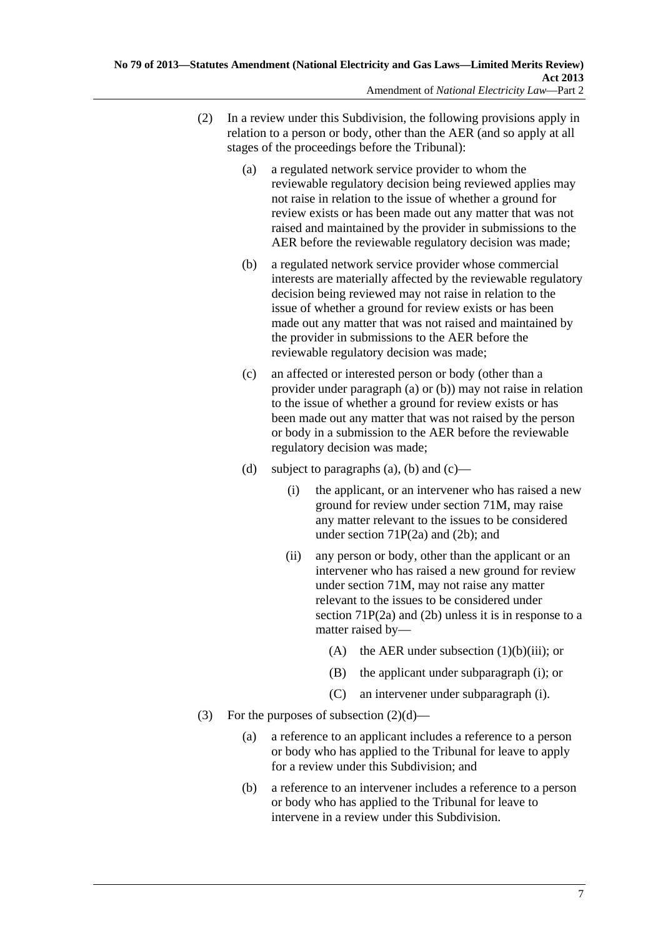- <span id="page-6-0"></span> (2) In a review under this Subdivision, the following provisions apply in relation to a person or body, other than the AER (and so apply at all stages of the proceedings before the Tribunal):
	- (a) a regulated network service provider to whom the reviewable regulatory decision being reviewed applies may not raise in relation to the issue of whether a ground for review exists or has been made out any matter that was not raised and maintained by the provider in submissions to the AER before the reviewable regulatory decision was made;
	- (b) a regulated network service provider whose commercial interests are materially affected by the reviewable regulatory decision being reviewed may not raise in relation to the issue of whether a ground for review exists or has been made out any matter that was not raised and maintained by the provider in submissions to the AER before the reviewable regulatory decision was made;
	- (c) an affected or interested person or body (other than a provider under [paragraph \(a\)](#page-6-0) or [\(b\)](#page-6-0)) may not raise in relation to the issue of whether a ground for review exists or has been made out any matter that was not raised by the person or body in a submission to the AER before the reviewable regulatory decision was made;
	- (d) subject to [paragraphs \(a\)](#page-6-0), [\(b\)](#page-6-0) and  $(c)$ 
		- (i) the applicant, or an intervener who has raised a new ground for review under section 71M, may raise any matter relevant to the issues to be considered under section 71P(2a) and (2b); and
		- (ii) any person or body, other than the applicant or an intervener who has raised a new ground for review under section 71M, may not raise any matter relevant to the issues to be considered under section 71P(2a) and (2b) unless it is in response to a matter raised by—
			- (A) the AER under subsection  $(1)(b)(iii)$ ; or
			- (B) the applicant under [subparagraph \(i\);](#page-6-0) or
			- (C) an intervener under [subparagraph \(i\)](#page-6-0).
- (3) For the purposes of subsection  $(2)(d)$ 
	- (a) a reference to an applicant includes a reference to a person or body who has applied to the Tribunal for leave to apply for a review under this Subdivision; and
	- (b) a reference to an intervener includes a reference to a person or body who has applied to the Tribunal for leave to intervene in a review under this Subdivision.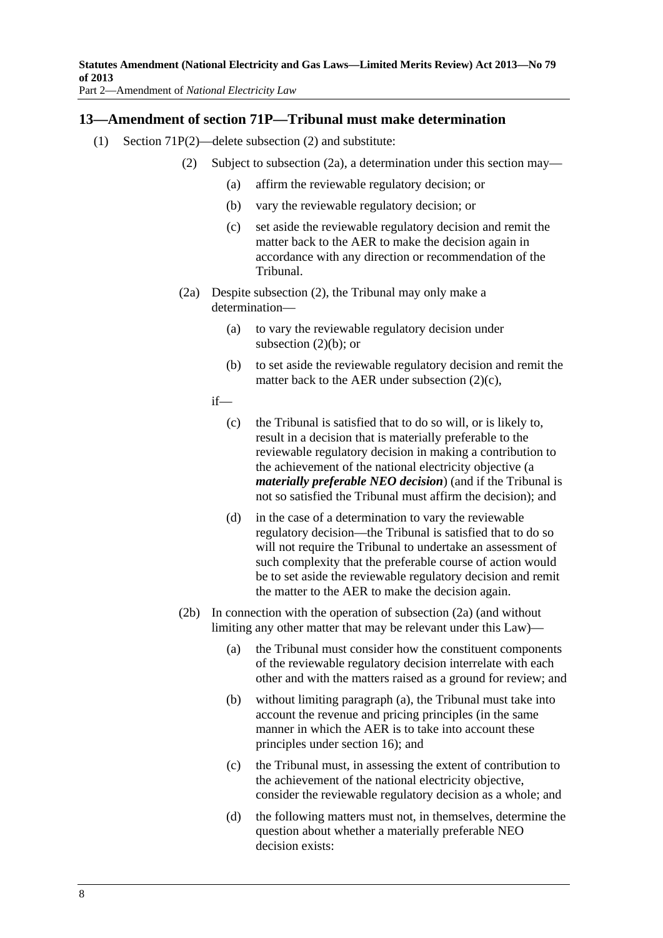#### <span id="page-7-0"></span>**13—Amendment of section 71P—Tribunal must make determination**

- (1) Section 71P(2)—delete subsection (2) and substitute:
	- (2) Subject to [subsection \(2a\)](#page-7-0), a determination under this section may—
		- (a) affirm the reviewable regulatory decision; or
		- (b) vary the reviewable regulatory decision; or
		- (c) set aside the reviewable regulatory decision and remit the matter back to the AER to make the decision again in accordance with any direction or recommendation of the Tribunal.
	- (2a) Despite [subsection \(2\),](#page-7-0) the Tribunal may only make a determination—
		- (a) to vary the reviewable regulatory decision under [subsection \(2\)\(b\)](#page-7-0); or
		- (b) to set aside the reviewable regulatory decision and remit the matter back to the AER under [subsection \(2\)\(c\),](#page-7-0)
		- if—
			- (c) the Tribunal is satisfied that to do so will, or is likely to, result in a decision that is materially preferable to the reviewable regulatory decision in making a contribution to the achievement of the national electricity objective (a *materially preferable NEO decision*) (and if the Tribunal is not so satisfied the Tribunal must affirm the decision); and
			- (d) in the case of a determination to vary the reviewable regulatory decision—the Tribunal is satisfied that to do so will not require the Tribunal to undertake an assessment of such complexity that the preferable course of action would be to set aside the reviewable regulatory decision and remit the matter to the AER to make the decision again.
	- (2b) In connection with the operation of [subsection \(2a\)](#page-7-0) (and without limiting any other matter that may be relevant under this Law)—
		- (a) the Tribunal must consider how the constituent components of the reviewable regulatory decision interrelate with each other and with the matters raised as a ground for review; and
		- (b) without limiting [paragraph \(a\),](#page-7-0) the Tribunal must take into account the revenue and pricing principles (in the same manner in which the AER is to take into account these principles under section 16); and
		- (c) the Tribunal must, in assessing the extent of contribution to the achievement of the national electricity objective, consider the reviewable regulatory decision as a whole; and
		- (d) the following matters must not, in themselves, determine the question about whether a materially preferable NEO decision exists: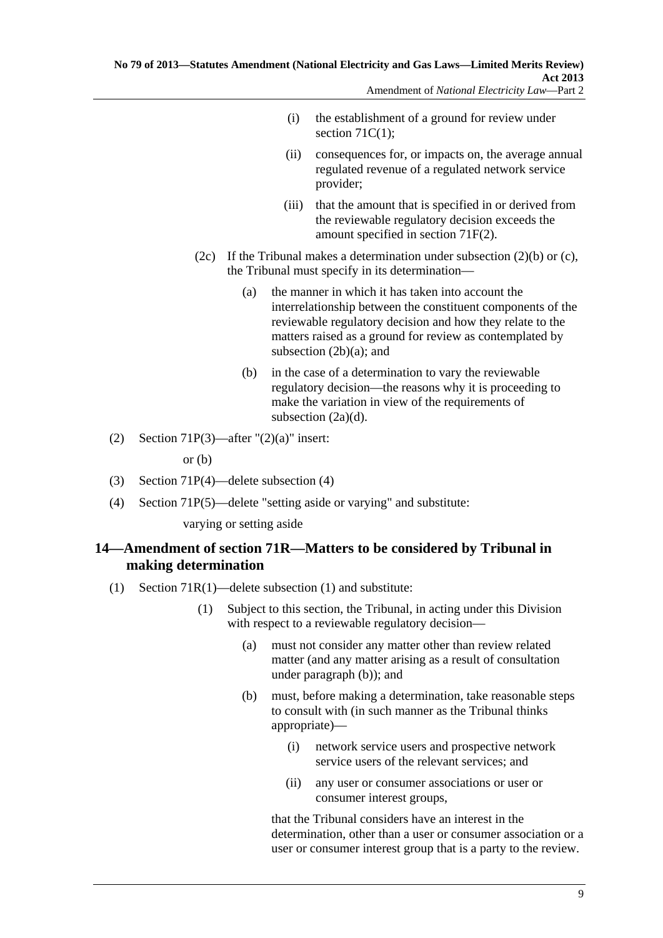- <span id="page-8-0"></span> (i) the establishment of a ground for review under section  $71C(1)$ ;
- (ii) consequences for, or impacts on, the average annual regulated revenue of a regulated network service provider;
- (iii) that the amount that is specified in or derived from the reviewable regulatory decision exceeds the amount specified in section 71F(2).
- (2c) If the Tribunal makes a determination under subsection  $(2)(b)$  or  $(c)$ , the Tribunal must specify in its determination—
	- (a) the manner in which it has taken into account the interrelationship between the constituent components of the reviewable regulatory decision and how they relate to the matters raised as a ground for review as contemplated by [subsection \(2b\)\(a\)](#page-7-0); and
	- (b) in the case of a determination to vary the reviewable regulatory decision—the reasons why it is proceeding to make the variation in view of the requirements of [subsection \(2a\)\(d\)](#page-7-0).
- (2) Section 71P(3)—after " $(2)(a)$ " insert:

or (b)

- (3) Section 71P(4)—delete subsection (4)
- (4) Section 71P(5)—delete "setting aside or varying" and substitute:

varying or setting aside

## **14—Amendment of section 71R—Matters to be considered by Tribunal in making determination**

- (1) Section 71R(1)—delete subsection (1) and substitute:
	- (1) Subject to this section, the Tribunal, in acting under this Division with respect to a reviewable regulatory decision—
		- (a) must not consider any matter other than review related matter (and any matter arising as a result of consultation under [paragraph \(b\)](#page-8-0)); and
		- (b) must, before making a determination, take reasonable steps to consult with (in such manner as the Tribunal thinks appropriate)—
			- (i) network service users and prospective network service users of the relevant services; and
			- (ii) any user or consumer associations or user or consumer interest groups,

that the Tribunal considers have an interest in the determination, other than a user or consumer association or a user or consumer interest group that is a party to the review.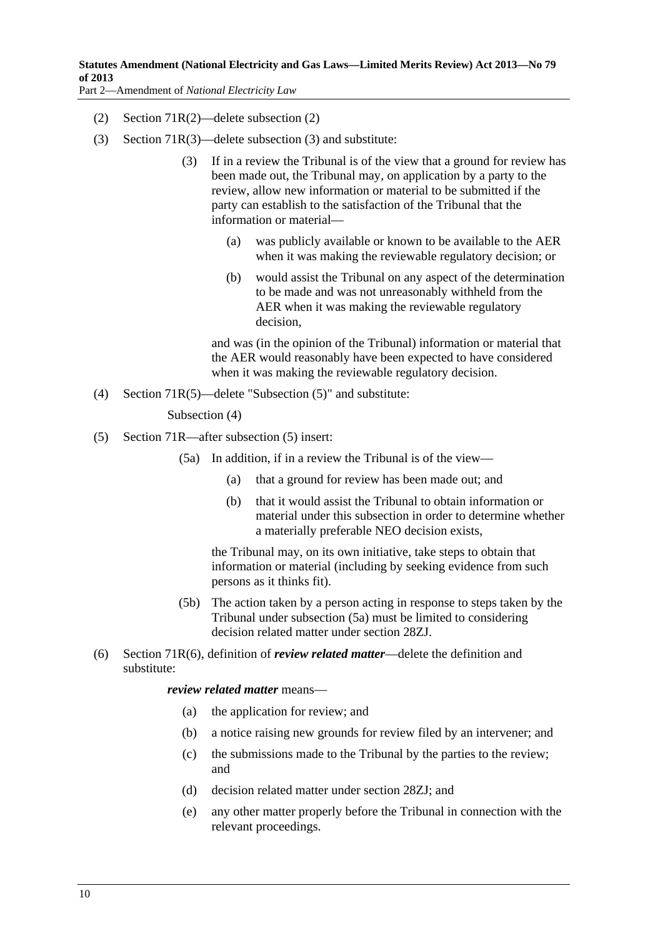- <span id="page-9-0"></span>(2) Section 71R(2)—delete subsection (2)
- (3) Section 71R(3)—delete subsection (3) and substitute:
	- (3) If in a review the Tribunal is of the view that a ground for review has been made out, the Tribunal may, on application by a party to the review, allow new information or material to be submitted if the party can establish to the satisfaction of the Tribunal that the information or material—
		- (a) was publicly available or known to be available to the AER when it was making the reviewable regulatory decision; or
		- (b) would assist the Tribunal on any aspect of the determination to be made and was not unreasonably withheld from the AER when it was making the reviewable regulatory decision,

and was (in the opinion of the Tribunal) information or material that the AER would reasonably have been expected to have considered when it was making the reviewable regulatory decision.

(4) Section 71R(5)—delete "Subsection (5)" and substitute:

Subsection (4)

- (5) Section 71R—after subsection (5) insert:
	- (5a) In addition, if in a review the Tribunal is of the view—
		- (a) that a ground for review has been made out; and
		- (b) that it would assist the Tribunal to obtain information or material under this subsection in order to determine whether a materially preferable NEO decision exists,

the Tribunal may, on its own initiative, take steps to obtain that information or material (including by seeking evidence from such persons as it thinks fit).

- (5b) The action taken by a person acting in response to steps taken by the Tribunal under [subsection \(5a\)](#page-9-0) must be limited to considering decision related matter under section 28ZJ.
- (6) Section 71R(6), definition of *review related matter*—delete the definition and substitute:

#### *review related matter* means—

- (a) the application for review; and
- (b) a notice raising new grounds for review filed by an intervener; and
- (c) the submissions made to the Tribunal by the parties to the review; and
- (d) decision related matter under section 28ZJ; and
- (e) any other matter properly before the Tribunal in connection with the relevant proceedings.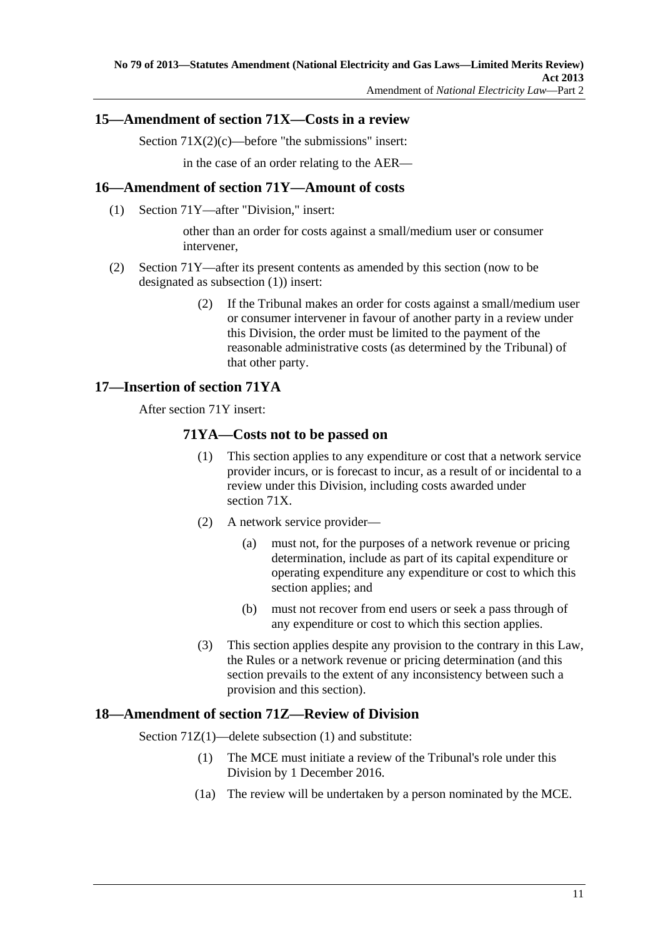## <span id="page-10-0"></span>**15—Amendment of section 71X—Costs in a review**

Section  $71X(2)(c)$ —before "the submissions" insert:

in the case of an order relating to the AER—

### **16—Amendment of section 71Y—Amount of costs**

(1) Section 71Y—after "Division," insert:

other than an order for costs against a small/medium user or consumer intervener,

- (2) Section 71Y—after its present contents as amended by this section (now to be designated as subsection (1)) insert:
	- (2) If the Tribunal makes an order for costs against a small/medium user or consumer intervener in favour of another party in a review under this Division, the order must be limited to the payment of the reasonable administrative costs (as determined by the Tribunal) of that other party.

#### **17—Insertion of section 71YA**

After section 71Y insert:

#### **71YA—Costs not to be passed on**

- (1) This section applies to any expenditure or cost that a network service provider incurs, or is forecast to incur, as a result of or incidental to a review under this Division, including costs awarded under section 71X.
- (2) A network service provider—
	- (a) must not, for the purposes of a network revenue or pricing determination, include as part of its capital expenditure or operating expenditure any expenditure or cost to which this section applies; and
	- (b) must not recover from end users or seek a pass through of any expenditure or cost to which this section applies.
- (3) This section applies despite any provision to the contrary in this Law, the Rules or a network revenue or pricing determination (and this section prevails to the extent of any inconsistency between such a provision and this section).

#### **18—Amendment of section 71Z—Review of Division**

Section 71Z(1)—delete subsection (1) and substitute:

- (1) The MCE must initiate a review of the Tribunal's role under this Division by 1 December 2016.
- (1a) The review will be undertaken by a person nominated by the MCE.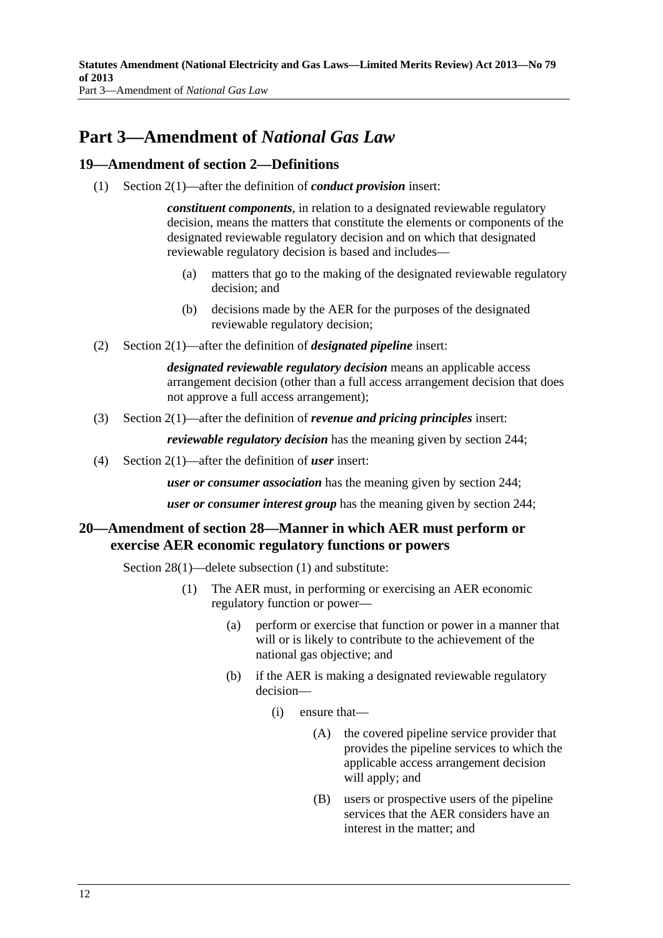## <span id="page-11-0"></span>**Part 3—Amendment of** *National Gas Law*

#### **19—Amendment of section 2—Definitions**

(1) Section 2(1)—after the definition of *conduct provision* insert:

*constituent components*, in relation to a designated reviewable regulatory decision, means the matters that constitute the elements or components of the designated reviewable regulatory decision and on which that designated reviewable regulatory decision is based and includes—

- (a) matters that go to the making of the designated reviewable regulatory decision; and
- (b) decisions made by the AER for the purposes of the designated reviewable regulatory decision;
- (2) Section 2(1)—after the definition of *designated pipeline* insert:

*designated reviewable regulatory decision* means an applicable access arrangement decision (other than a full access arrangement decision that does not approve a full access arrangement);

(3) Section 2(1)—after the definition of *revenue and pricing principles* insert:

*reviewable regulatory decision* has the meaning given by section 244;

(4) Section 2(1)—after the definition of *user* insert:

*user or consumer association* has the meaning given by section 244;

*user or consumer interest group* has the meaning given by section 244;

#### **20—Amendment of section 28—Manner in which AER must perform or exercise AER economic regulatory functions or powers**

Section 28(1)—delete subsection (1) and substitute:

- (1) The AER must, in performing or exercising an AER economic regulatory function or power—
	- (a) perform or exercise that function or power in a manner that will or is likely to contribute to the achievement of the national gas objective; and
	- (b) if the AER is making a designated reviewable regulatory decision—
		- (i) ensure that—
			- (A) the covered pipeline service provider that provides the pipeline services to which the applicable access arrangement decision will apply; and
			- (B) users or prospective users of the pipeline services that the AER considers have an interest in the matter; and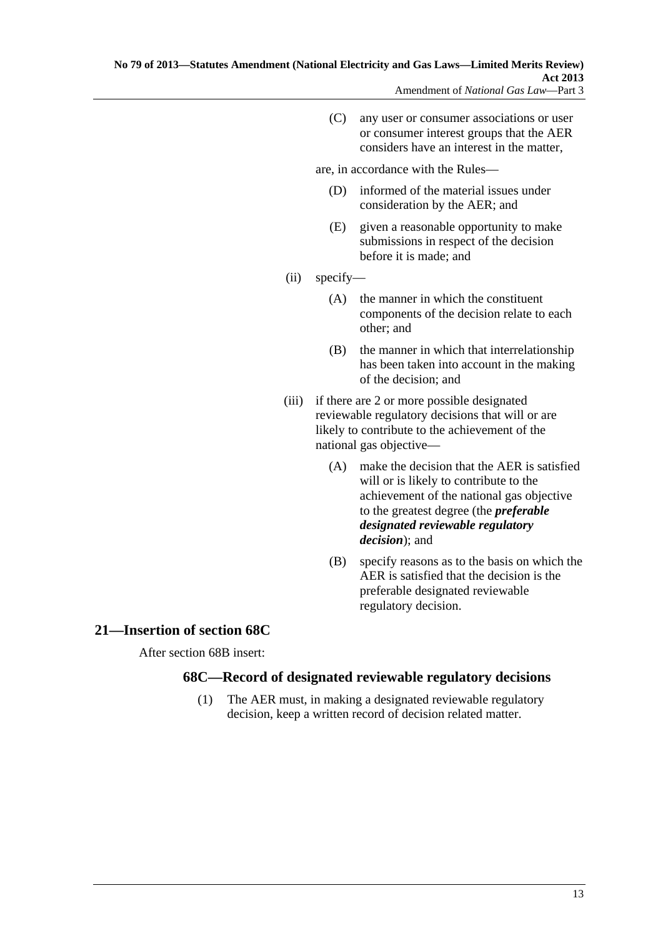<span id="page-12-0"></span> (C) any user or consumer associations or user or consumer interest groups that the AER considers have an interest in the matter,

are, in accordance with the Rules—

- (D) informed of the material issues under consideration by the AER; and
- (E) given a reasonable opportunity to make submissions in respect of the decision before it is made; and
- (ii) specify—
	- (A) the manner in which the constituent components of the decision relate to each other; and
	- (B) the manner in which that interrelationship has been taken into account in the making of the decision; and
- (iii) if there are 2 or more possible designated reviewable regulatory decisions that will or are likely to contribute to the achievement of the national gas objective—
	- (A) make the decision that the AER is satisfied will or is likely to contribute to the achievement of the national gas objective to the greatest degree (the *preferable designated reviewable regulatory decision*); and
	- (B) specify reasons as to the basis on which the AER is satisfied that the decision is the preferable designated reviewable regulatory decision.

## **21—Insertion of section 68C**

After section 68B insert:

## **68C—Record of designated reviewable regulatory decisions**

 (1) The AER must, in making a designated reviewable regulatory decision, keep a written record of decision related matter.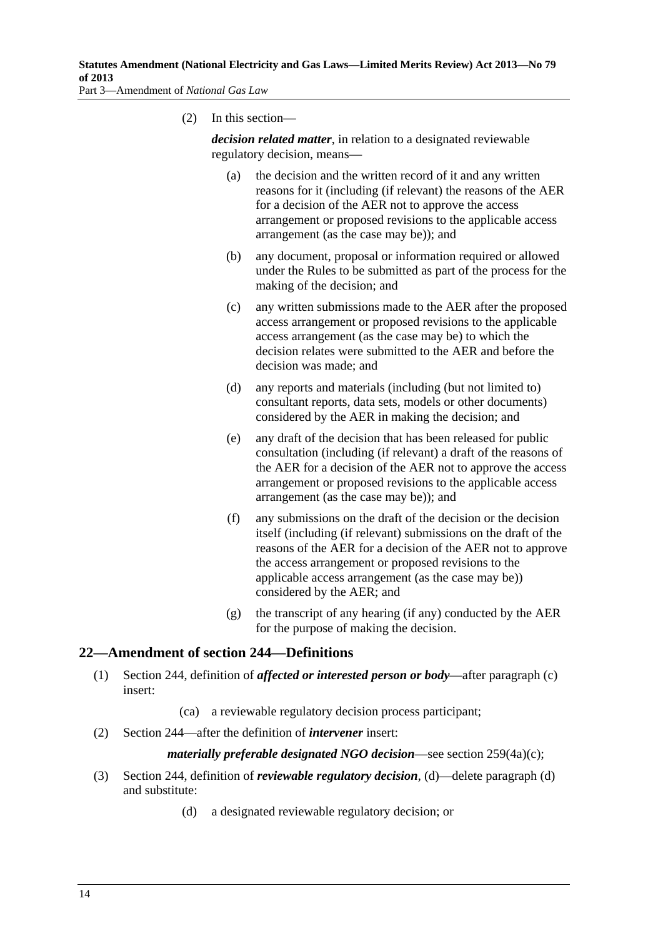<span id="page-13-0"></span>

(2) In this section—

*decision related matter*, in relation to a designated reviewable regulatory decision, means—

- (a) the decision and the written record of it and any written reasons for it (including (if relevant) the reasons of the AER for a decision of the AER not to approve the access arrangement or proposed revisions to the applicable access arrangement (as the case may be)); and
- (b) any document, proposal or information required or allowed under the Rules to be submitted as part of the process for the making of the decision; and
- (c) any written submissions made to the AER after the proposed access arrangement or proposed revisions to the applicable access arrangement (as the case may be) to which the decision relates were submitted to the AER and before the decision was made; and
- (d) any reports and materials (including (but not limited to) consultant reports, data sets, models or other documents) considered by the AER in making the decision; and
- (e) any draft of the decision that has been released for public consultation (including (if relevant) a draft of the reasons of the AER for a decision of the AER not to approve the access arrangement or proposed revisions to the applicable access arrangement (as the case may be)); and
- (f) any submissions on the draft of the decision or the decision itself (including (if relevant) submissions on the draft of the reasons of the AER for a decision of the AER not to approve the access arrangement or proposed revisions to the applicable access arrangement (as the case may be)) considered by the AER; and
- (g) the transcript of any hearing (if any) conducted by the AER for the purpose of making the decision.

#### **22—Amendment of section 244—Definitions**

- (1) Section 244, definition of *affected or interested person or body*—after paragraph (c) insert:
	- (ca) a reviewable regulatory decision process participant;
- (2) Section 244—after the definition of *intervener* insert:

#### *materially preferable designated NGO decision*—see section 259(4a)(c);

- (3) Section 244, definition of *reviewable regulatory decision*, (d)—delete paragraph (d) and substitute:
	- (d) a designated reviewable regulatory decision; or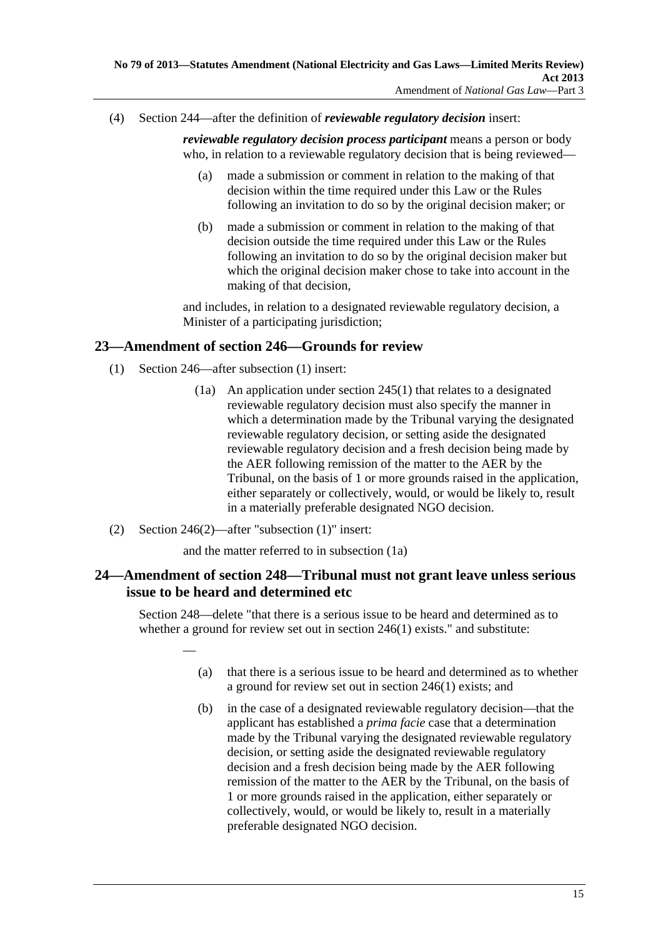<span id="page-14-0"></span>(4) Section 244—after the definition of *reviewable regulatory decision* insert:

*reviewable regulatory decision process participant* means a person or body who, in relation to a reviewable regulatory decision that is being reviewed—

- (a) made a submission or comment in relation to the making of that decision within the time required under this Law or the Rules following an invitation to do so by the original decision maker; or
- (b) made a submission or comment in relation to the making of that decision outside the time required under this Law or the Rules following an invitation to do so by the original decision maker but which the original decision maker chose to take into account in the making of that decision,

and includes, in relation to a designated reviewable regulatory decision, a Minister of a participating jurisdiction;

## **23—Amendment of section 246—Grounds for review**

- (1) Section 246—after subsection (1) insert:
	- (1a) An application under section 245(1) that relates to a designated reviewable regulatory decision must also specify the manner in which a determination made by the Tribunal varying the designated reviewable regulatory decision, or setting aside the designated reviewable regulatory decision and a fresh decision being made by the AER following remission of the matter to the AER by the Tribunal, on the basis of 1 or more grounds raised in the application, either separately or collectively, would, or would be likely to, result in a materially preferable designated NGO decision.
- (2) Section 246(2)—after "subsection (1)" insert:

—

and the matter referred to in subsection (1a)

## **24—Amendment of section 248—Tribunal must not grant leave unless serious issue to be heard and determined etc**

Section 248—delete "that there is a serious issue to be heard and determined as to whether a ground for review set out in section 246(1) exists." and substitute:

- (a) that there is a serious issue to be heard and determined as to whether a ground for review set out in section 246(1) exists; and
- (b) in the case of a designated reviewable regulatory decision—that the applicant has established a *prima facie* case that a determination made by the Tribunal varying the designated reviewable regulatory decision, or setting aside the designated reviewable regulatory decision and a fresh decision being made by the AER following remission of the matter to the AER by the Tribunal, on the basis of 1 or more grounds raised in the application, either separately or collectively, would, or would be likely to, result in a materially preferable designated NGO decision.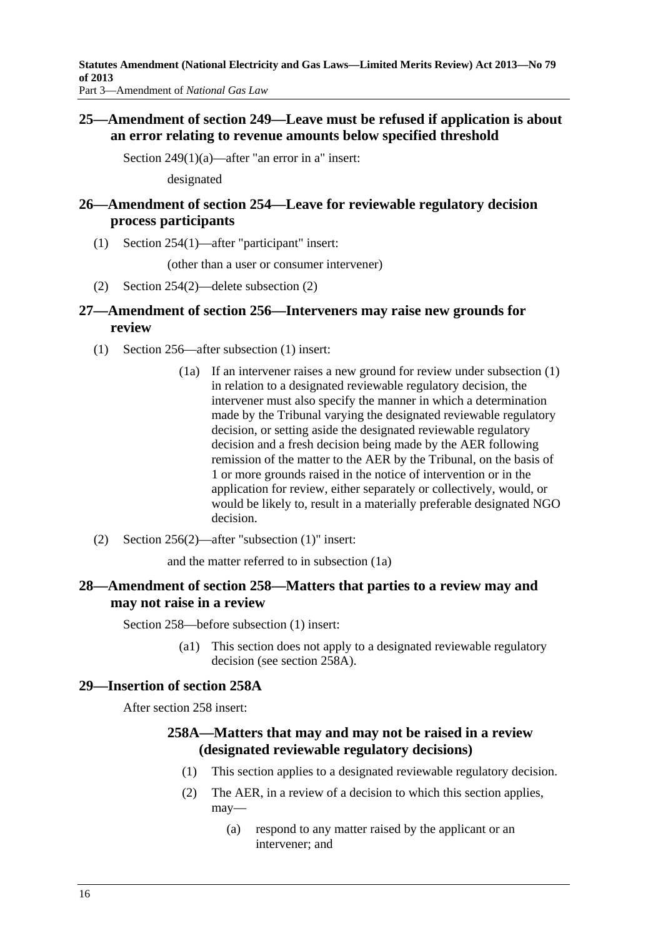<span id="page-15-0"></span>Part 3—Amendment of *National Gas Law*

#### **25—Amendment of section 249—Leave must be refused if application is about an error relating to revenue amounts below specified threshold**

Section 249(1)(a)—after "an error in a" insert:

designated

### **26—Amendment of section 254—Leave for reviewable regulatory decision process participants**

(1) Section 254(1)—after "participant" insert:

(other than a user or consumer intervener)

(2) Section 254(2)—delete subsection (2)

#### **27—Amendment of section 256—Interveners may raise new grounds for review**

- (1) Section 256—after subsection (1) insert:
	- (1a) If an intervener raises a new ground for review under subsection (1) in relation to a designated reviewable regulatory decision, the intervener must also specify the manner in which a determination made by the Tribunal varying the designated reviewable regulatory decision, or setting aside the designated reviewable regulatory decision and a fresh decision being made by the AER following remission of the matter to the AER by the Tribunal, on the basis of 1 or more grounds raised in the notice of intervention or in the application for review, either separately or collectively, would, or would be likely to, result in a materially preferable designated NGO decision.
- (2) Section 256(2)—after "subsection (1)" insert:

and the matter referred to in subsection (1a)

#### **28—Amendment of section 258—Matters that parties to a review may and may not raise in a review**

Section 258—before subsection (1) insert:

 (a1) This section does not apply to a designated reviewable regulatory decision (see section 258A).

#### **29—Insertion of section 258A**

After section 258 insert:

#### **258A—Matters that may and may not be raised in a review (designated reviewable regulatory decisions)**

- (1) This section applies to a designated reviewable regulatory decision.
- (2) The AER, in a review of a decision to which this section applies, may—
	- (a) respond to any matter raised by the applicant or an intervener; and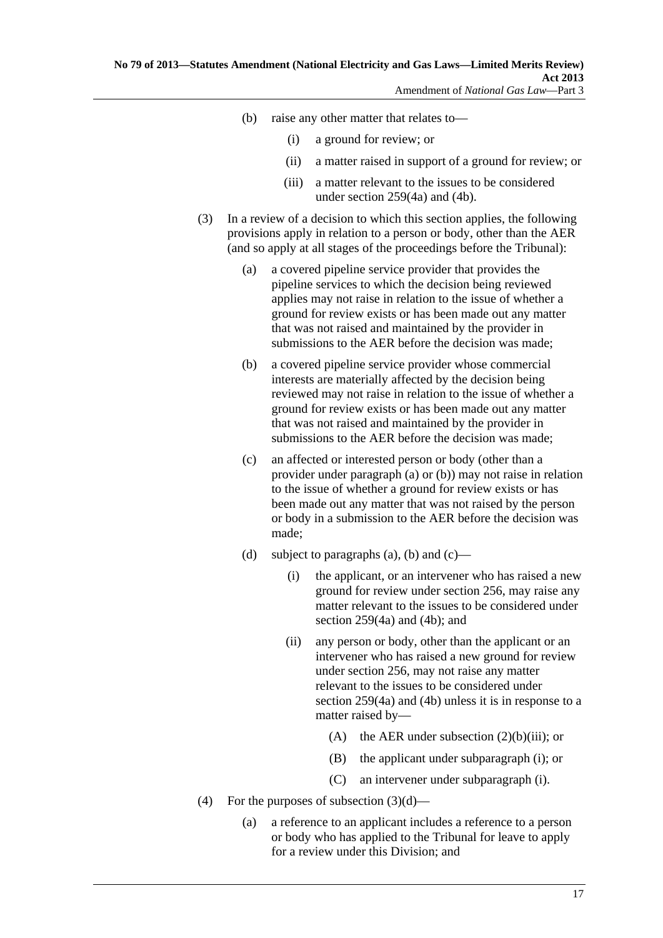- <span id="page-16-0"></span> (b) raise any other matter that relates to—
	- (i) a ground for review; or
	- (ii) a matter raised in support of a ground for review; or
	- (iii) a matter relevant to the issues to be considered under section 259(4a) and (4b).
- (3) In a review of a decision to which this section applies, the following provisions apply in relation to a person or body, other than the AER (and so apply at all stages of the proceedings before the Tribunal):
	- (a) a covered pipeline service provider that provides the pipeline services to which the decision being reviewed applies may not raise in relation to the issue of whether a ground for review exists or has been made out any matter that was not raised and maintained by the provider in submissions to the AER before the decision was made;
	- (b) a covered pipeline service provider whose commercial interests are materially affected by the decision being reviewed may not raise in relation to the issue of whether a ground for review exists or has been made out any matter that was not raised and maintained by the provider in submissions to the AER before the decision was made;
	- (c) an affected or interested person or body (other than a provider under [paragraph \(a\)](#page-16-0) or [\(b\)](#page-16-0)) may not raise in relation to the issue of whether a ground for review exists or has been made out any matter that was not raised by the person or body in a submission to the AER before the decision was made;
	- (d) subject to [paragraphs \(a\)](#page-16-0), [\(b\)](#page-16-0) and  $(c)$ 
		- (i) the applicant, or an intervener who has raised a new ground for review under section 256, may raise any matter relevant to the issues to be considered under section 259(4a) and (4b); and
		- (ii) any person or body, other than the applicant or an intervener who has raised a new ground for review under section 256, may not raise any matter relevant to the issues to be considered under section 259(4a) and (4b) unless it is in response to a matter raised by—
			- (A) the AER under subsection  $(2)(b)(iii)$ ; or
			- (B) the applicant under [subparagraph \(i\);](#page-16-0) or
			- (C) an intervener under [subparagraph \(i\)](#page-16-0).
- (4) For the purposes of subsection  $(3)(d)$ 
	- (a) a reference to an applicant includes a reference to a person or body who has applied to the Tribunal for leave to apply for a review under this Division; and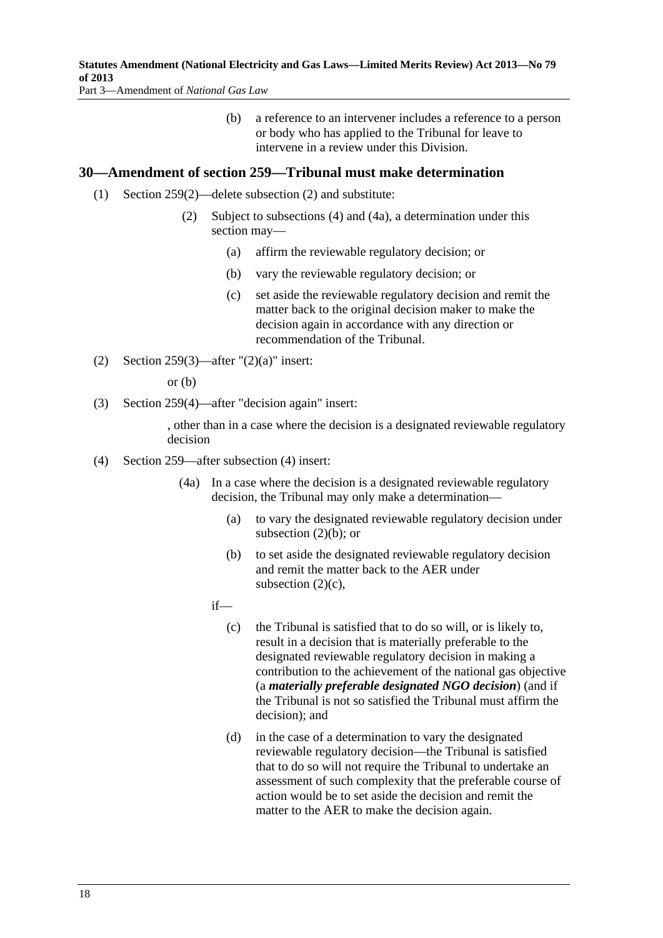#### <span id="page-17-0"></span>**Statutes Amendment (National Electricity and Gas Laws—Limited Merits Review) Act 2013—No 79 of 2013**

Part 3—Amendment of *National Gas Law*

 (b) a reference to an intervener includes a reference to a person or body who has applied to the Tribunal for leave to intervene in a review under this Division.

#### **30—Amendment of section 259—Tribunal must make determination**

- (1) Section 259(2)—delete subsection (2) and substitute:
	- (2) Subject to subsections (4) and (4a), a determination under this section may—
		- (a) affirm the reviewable regulatory decision; or
		- (b) vary the reviewable regulatory decision; or
		- (c) set aside the reviewable regulatory decision and remit the matter back to the original decision maker to make the decision again in accordance with any direction or recommendation of the Tribunal.
- (2) Section 259(3)—after  $"(2)(a)"$  insert:

or (b)

(3) Section 259(4)—after "decision again" insert:

, other than in a case where the decision is a designated reviewable regulatory decision

- (4) Section 259—after subsection (4) insert:
	- (4a) In a case where the decision is a designated reviewable regulatory decision, the Tribunal may only make a determination—
		- (a) to vary the designated reviewable regulatory decision under subsection  $(2)(b)$ ; or
		- (b) to set aside the designated reviewable regulatory decision and remit the matter back to the AER under subsection  $(2)(c)$ ,

if—

- (c) the Tribunal is satisfied that to do so will, or is likely to, result in a decision that is materially preferable to the designated reviewable regulatory decision in making a contribution to the achievement of the national gas objective (a *materially preferable designated NGO decision*) (and if the Tribunal is not so satisfied the Tribunal must affirm the decision); and
- (d) in the case of a determination to vary the designated reviewable regulatory decision—the Tribunal is satisfied that to do so will not require the Tribunal to undertake an assessment of such complexity that the preferable course of action would be to set aside the decision and remit the matter to the AER to make the decision again.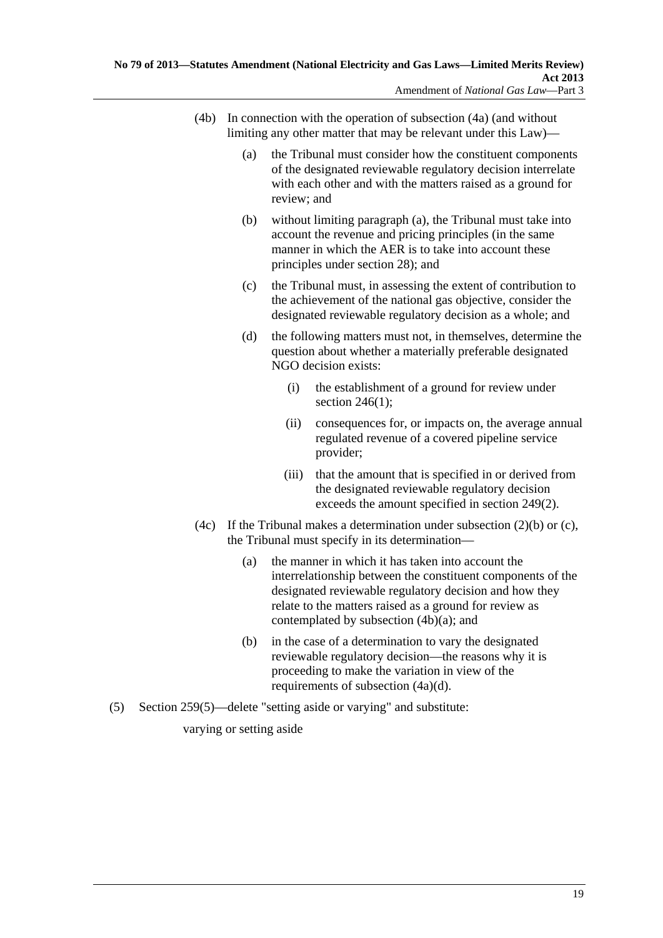- <span id="page-18-0"></span> (4b) In connection with the operation of [subsection \(4a\)](#page-17-0) (and without limiting any other matter that may be relevant under this Law)—
	- (a) the Tribunal must consider how the constituent components of the designated reviewable regulatory decision interrelate with each other and with the matters raised as a ground for review; and
	- (b) without limiting [paragraph \(a\),](#page-18-0) the Tribunal must take into account the revenue and pricing principles (in the same manner in which the AER is to take into account these principles under section 28); and
	- (c) the Tribunal must, in assessing the extent of contribution to the achievement of the national gas objective, consider the designated reviewable regulatory decision as a whole; and
	- (d) the following matters must not, in themselves, determine the question about whether a materially preferable designated NGO decision exists:
		- (i) the establishment of a ground for review under section  $246(1)$ ;
		- (ii) consequences for, or impacts on, the average annual regulated revenue of a covered pipeline service provider;
		- (iii) that the amount that is specified in or derived from the designated reviewable regulatory decision exceeds the amount specified in section 249(2).
- (4c) If the Tribunal makes a determination under subsection  $(2)(b)$  or  $(c)$ , the Tribunal must specify in its determination—
	- (a) the manner in which it has taken into account the interrelationship between the constituent components of the designated reviewable regulatory decision and how they relate to the matters raised as a ground for review as contemplated by [subsection \(4b\)\(a\);](#page-18-0) and
	- (b) in the case of a determination to vary the designated reviewable regulatory decision—the reasons why it is proceeding to make the variation in view of the requirements of [subsection \(4a\)\(d\).](#page-17-0)
- (5) Section 259(5)—delete "setting aside or varying" and substitute:

varying or setting aside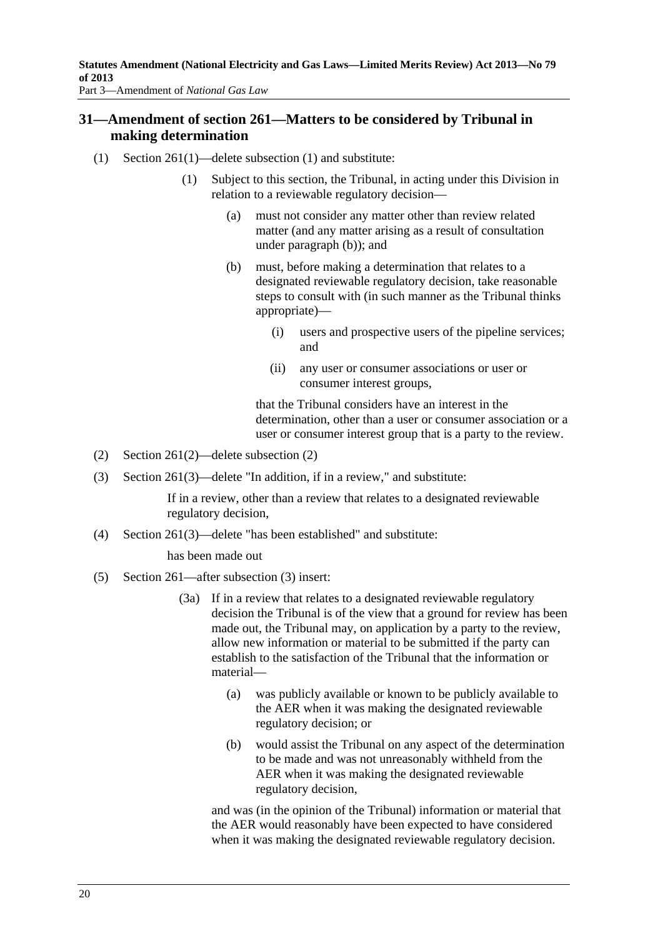<span id="page-19-0"></span>Part 3—Amendment of *National Gas Law*

## **31—Amendment of section 261—Matters to be considered by Tribunal in making determination**

- (1) Section 261(1)—delete subsection (1) and substitute:
	- (1) Subject to this section, the Tribunal, in acting under this Division in relation to a reviewable regulatory decision—
		- (a) must not consider any matter other than review related matter (and any matter arising as a result of consultation under [paragraph \(b\)](#page-19-0)); and
		- (b) must, before making a determination that relates to a designated reviewable regulatory decision, take reasonable steps to consult with (in such manner as the Tribunal thinks appropriate)—
			- (i) users and prospective users of the pipeline services; and
			- (ii) any user or consumer associations or user or consumer interest groups,

that the Tribunal considers have an interest in the determination, other than a user or consumer association or a user or consumer interest group that is a party to the review.

- (2) Section 261(2)—delete subsection (2)
- (3) Section 261(3)—delete "In addition, if in a review," and substitute:

If in a review, other than a review that relates to a designated reviewable regulatory decision,

(4) Section 261(3)—delete "has been established" and substitute:

has been made out

- (5) Section 261—after subsection (3) insert:
	- (3a) If in a review that relates to a designated reviewable regulatory decision the Tribunal is of the view that a ground for review has been made out, the Tribunal may, on application by a party to the review, allow new information or material to be submitted if the party can establish to the satisfaction of the Tribunal that the information or material—
		- (a) was publicly available or known to be publicly available to the AER when it was making the designated reviewable regulatory decision; or
		- (b) would assist the Tribunal on any aspect of the determination to be made and was not unreasonably withheld from the AER when it was making the designated reviewable regulatory decision,

and was (in the opinion of the Tribunal) information or material that the AER would reasonably have been expected to have considered when it was making the designated reviewable regulatory decision.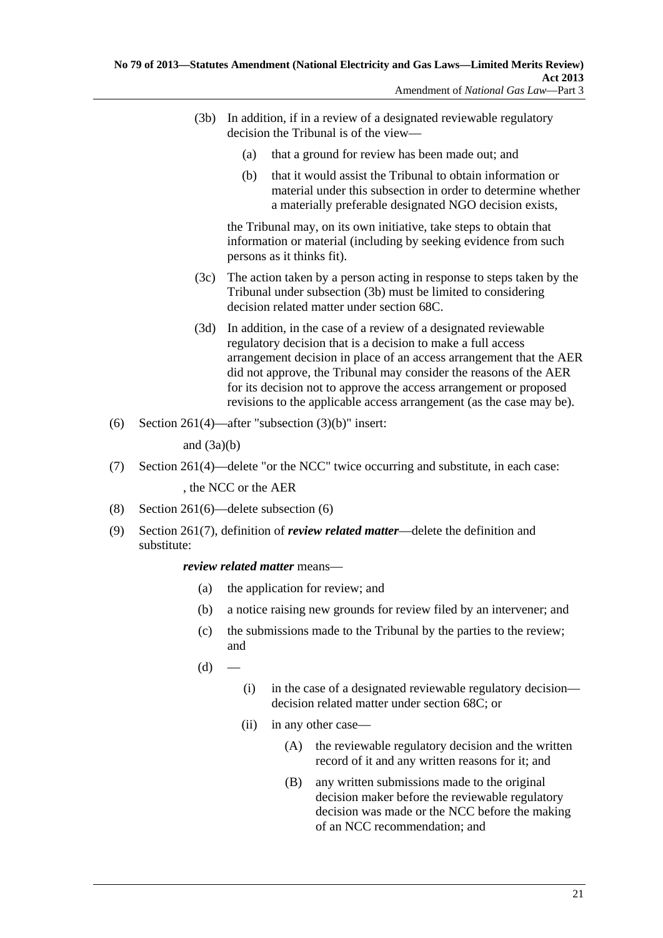- <span id="page-20-0"></span> (3b) In addition, if in a review of a designated reviewable regulatory decision the Tribunal is of the view—
	- (a) that a ground for review has been made out; and
	- (b) that it would assist the Tribunal to obtain information or material under this subsection in order to determine whether a materially preferable designated NGO decision exists,

the Tribunal may, on its own initiative, take steps to obtain that information or material (including by seeking evidence from such persons as it thinks fit).

- (3c) The action taken by a person acting in response to steps taken by the Tribunal under [subsection \(3b\)](#page-20-0) must be limited to considering decision related matter under section 68C.
- (3d) In addition, in the case of a review of a designated reviewable regulatory decision that is a decision to make a full access arrangement decision in place of an access arrangement that the AER did not approve, the Tribunal may consider the reasons of the AER for its decision not to approve the access arrangement or proposed revisions to the applicable access arrangement (as the case may be).
- (6) Section 261(4)—after "subsection  $(3)(b)$ " insert:

and  $(3a)(b)$ 

(7) Section 261(4)—delete "or the NCC" twice occurring and substitute, in each case:

, the NCC or the AER

- (8) Section 261(6)—delete subsection (6)
- (9) Section 261(7), definition of *review related matter*—delete the definition and substitute:

#### *review related matter* means—

- (a) the application for review; and
- (b) a notice raising new grounds for review filed by an intervener; and
- (c) the submissions made to the Tribunal by the parties to the review; and
- $(d)$
- (i) in the case of a designated reviewable regulatory decision decision related matter under section 68C; or
- (ii) in any other case—
	- (A) the reviewable regulatory decision and the written record of it and any written reasons for it; and
	- (B) any written submissions made to the original decision maker before the reviewable regulatory decision was made or the NCC before the making of an NCC recommendation; and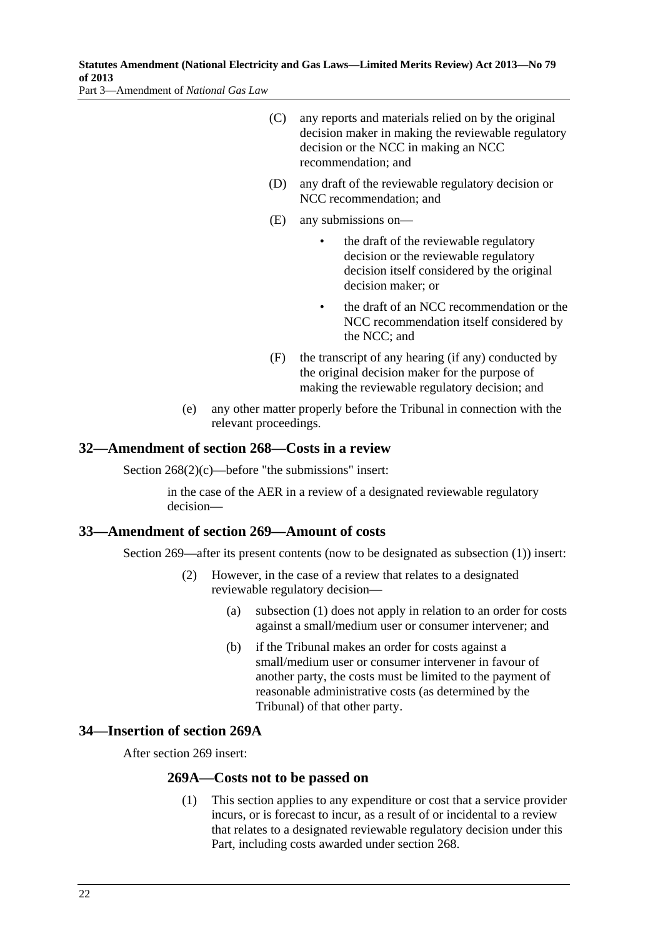<span id="page-21-0"></span>**Statutes Amendment (National Electricity and Gas Laws—Limited Merits Review) Act 2013—No 79 of 2013** 

Part 3—Amendment of *National Gas Law*

- (C) any reports and materials relied on by the original decision maker in making the reviewable regulatory decision or the NCC in making an NCC recommendation; and
- (D) any draft of the reviewable regulatory decision or NCC recommendation; and
- (E) any submissions on
	- the draft of the reviewable regulatory decision or the reviewable regulatory decision itself considered by the original decision maker; or
	- the draft of an NCC recommendation or the NCC recommendation itself considered by the NCC; and
- (F) the transcript of any hearing (if any) conducted by the original decision maker for the purpose of making the reviewable regulatory decision; and
- (e) any other matter properly before the Tribunal in connection with the relevant proceedings.

#### **32—Amendment of section 268—Costs in a review**

Section 268(2)(c)—before "the submissions" insert:

in the case of the AER in a review of a designated reviewable regulatory decision—

#### **33—Amendment of section 269—Amount of costs**

Section 269—after its present contents (now to be designated as subsection (1)) insert:

- (2) However, in the case of a review that relates to a designated reviewable regulatory decision—
	- (a) subsection (1) does not apply in relation to an order for costs against a small/medium user or consumer intervener; and
	- (b) if the Tribunal makes an order for costs against a small/medium user or consumer intervener in favour of another party, the costs must be limited to the payment of reasonable administrative costs (as determined by the Tribunal) of that other party.

#### **34—Insertion of section 269A**

After section 269 insert:

#### **269A—Costs not to be passed on**

 (1) This section applies to any expenditure or cost that a service provider incurs, or is forecast to incur, as a result of or incidental to a review that relates to a designated reviewable regulatory decision under this Part, including costs awarded under section 268.